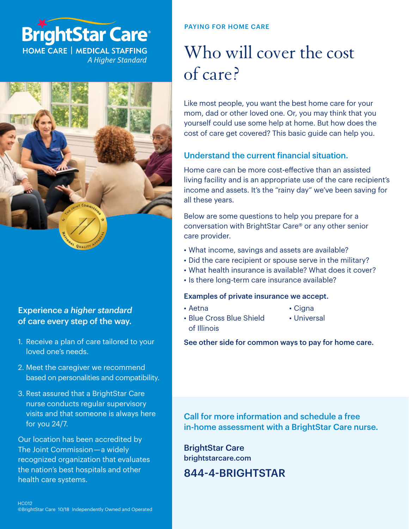# **BrightStar Care®**

**HOME CARE | MEDICAL STAFFING** A Higher Standard



#### Experience *a higher standard* of care every step of the way.

- 1. Receive a plan of care tailored to your loved one's needs.
- 2. Meet the caregiver we recommend based on personalities and compatibility.
- 3. Rest assured that a BrightStar Care nurse conducts regular supervisory visits and that someone is always here for you 24/7.

Our location has been accredited by The Joint Commission — a widely recognized organization that evaluates the nation's best hospitals and other health care systems.

#### PAYING FOR HOME CARE

### Who will cover the cost of care?

Like most people, you want the best home care for your mom, dad or other loved one. Or, you may think that you yourself could use some help at home. But how does the cost of care get covered? This basic guide can help you.

#### Understand the current financial situation.

Home care can be more cost-effective than an assisted living facility and is an appropriate use of the care recipient's income and assets. It's the "rainy day" we've been saving for all these years.

Below are some questions to help you prepare for a conversation with BrightStar Care® or any other senior care provider.

- What income, savings and assets are available?
- Did the care recipient or spouse serve in the military?
- What health insurance is available? What does it cover?
- Is there long-term care insurance available?

#### Examples of private insurance we accept.

• Aetna

- Cigna
- Blue Cross Blue Shield of Illinois
- Universal

See other side for common ways to pay for home care.

Call for more information and schedule a free in-home assessment with a BrightStar Care nurse.

BrightStar Care [brightstarcare.com](http://brightstarcare.com)

844-4-BRIGHTSTAR